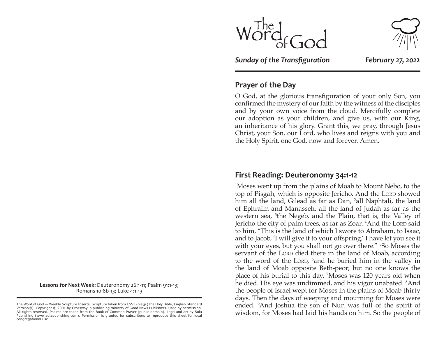

*Sunday of the Transfiguration February 27, 2022*

## **Prayer of the Day**

O God, at the glorious transfiguration of your only Son, you confirmed the mystery of our faith by the witness of the disciples and by your own voice from the cloud. Mercifully complete our adoption as your children, and give us, with our King, an inheritance of his glory. Grant this, we pray, through Jesus Christ, your Son, our Lord, who lives and reigns with you and the Holy Spirit, one God, now and forever. Amen.

#### **First Reading: Deuteronomy 34:1-12**

1 Moses went up from the plains of Moab to Mount Nebo, to the top of Pisgah, which is opposite Jericho. And the Lord showed him all the land, Gilead as far as Dan, <sup>2</sup>all Naphtali, the land of Ephraim and Manasseh, all the land of Judah as far as the western sea, <sup>3</sup>the Negeb, and the Plain, that is, the Valley of Jericho the city of palm trees, as far as Zoar. <sup>4</sup>And the Lord said to him, "This is the land of which I swore to Abraham, to Isaac, and to Jacob, 'I will give it to your offspring.' I have let you see it with your eyes, but you shall not go over there." <sup>5</sup>So Moses the servant of the Lorp died there in the land of Moab, according to the word of the LORD, <sup>6</sup> and he buried him in the valley in the land of Moab opposite Beth-peor; but no one knows the place of his burial to this day. <sup>7</sup> Moses was 120 years old when he died. His eye was undimmed, and his vigor unabated. <sup>8</sup>And the people of Israel wept for Moses in the plains of Moab thirty days. Then the days of weeping and mourning for Moses were ended. <sup>9</sup> And Joshua the son of Nun was full of the spirit of wisdom, for Moses had laid his hands on him. So the people of

**Lessons for Next Week:** Deuteronomy 26:1-11; Psalm 91:1-13; Romans 10:8b-13; Luke 4:1-13

The Word of God — Weekly Scripture Inserts. Scripture taken from ESV Bible® (The Holy Bible, English Standard Version®). Copyright © 2001 by Crossway, a publishing ministry of Good News Publishers. Used by permission. All rights reserved. Psalms are taken from the Book of Common Prayer (public domain). Logo and art by Sola Publishing (www.solapublishing.com). Permission is granted for subscribers to reproduce this sheet for local congregational use.